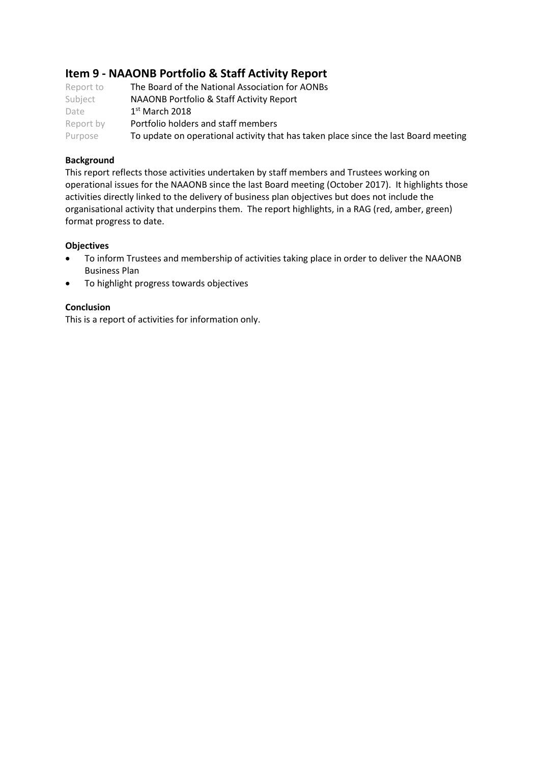## **Item 9 - NAAONB Portfolio & Staff Activity Report**

| Report to | The Board of the National Association for AONBs                                     |
|-----------|-------------------------------------------------------------------------------------|
| Subject   | NAAONB Portfolio & Staff Activity Report                                            |
| Date      | $1st$ March 2018                                                                    |
| Report by | Portfolio holders and staff members                                                 |
| Purpose   | To update on operational activity that has taken place since the last Board meeting |

## **Background**

This report reflects those activities undertaken by staff members and Trustees working on operational issues for the NAAONB since the last Board meeting (October 2017). It highlights those activities directly linked to the delivery of business plan objectives but does not include the organisational activity that underpins them. The report highlights, in a RAG (red, amber, green) format progress to date.

## **Objectives**

- To inform Trustees and membership of activities taking place in order to deliver the NAAONB Business Plan
- To highlight progress towards objectives

## **Conclusion**

This is a report of activities for information only.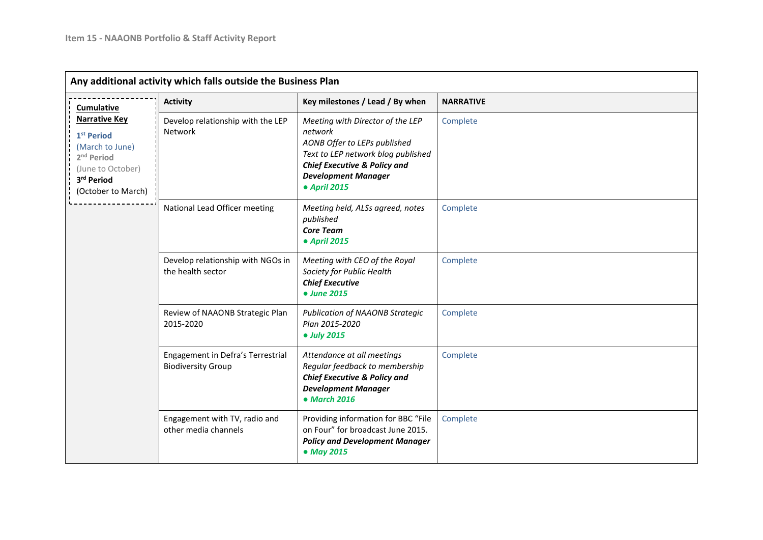| Any additional activity which falls outside the Business Plan                                                                                        |                                                                |                                                                                                                                                                                                            |                  |
|------------------------------------------------------------------------------------------------------------------------------------------------------|----------------------------------------------------------------|------------------------------------------------------------------------------------------------------------------------------------------------------------------------------------------------------------|------------------|
| <b>Cumulative</b>                                                                                                                                    | <b>Activity</b>                                                | Key milestones / Lead / By when                                                                                                                                                                            | <b>NARRATIVE</b> |
| <b>Narrative Key</b><br>1 <sup>st</sup> Period<br>(March to June)<br>2 <sup>nd</sup> Period<br>(June to October)<br>3rd Period<br>(October to March) | Develop relationship with the LEP<br>Network                   | Meeting with Director of the LEP<br>network<br>AONB Offer to LEPs published<br>Text to LEP network blog published<br><b>Chief Executive &amp; Policy and</b><br><b>Development Manager</b><br>• April 2015 | Complete         |
|                                                                                                                                                      | National Lead Officer meeting                                  | Meeting held, ALSs agreed, notes<br>published<br><b>Core Team</b><br>• April 2015                                                                                                                          | Complete         |
|                                                                                                                                                      | Develop relationship with NGOs in<br>the health sector         | Meeting with CEO of the Royal<br>Society for Public Health<br><b>Chief Executive</b><br>• June 2015                                                                                                        | Complete         |
|                                                                                                                                                      | Review of NAAONB Strategic Plan<br>2015-2020                   | <b>Publication of NAAONB Strategic</b><br>Plan 2015-2020<br>• July 2015                                                                                                                                    | Complete         |
|                                                                                                                                                      | Engagement in Defra's Terrestrial<br><b>Biodiversity Group</b> | Attendance at all meetings<br>Regular feedback to membership<br><b>Chief Executive &amp; Policy and</b><br><b>Development Manager</b><br>$•$ March 2016                                                    | Complete         |
|                                                                                                                                                      | Engagement with TV, radio and<br>other media channels          | Providing information for BBC "File<br>on Four" for broadcast June 2015.<br><b>Policy and Development Manager</b><br>• May 2015                                                                            | Complete         |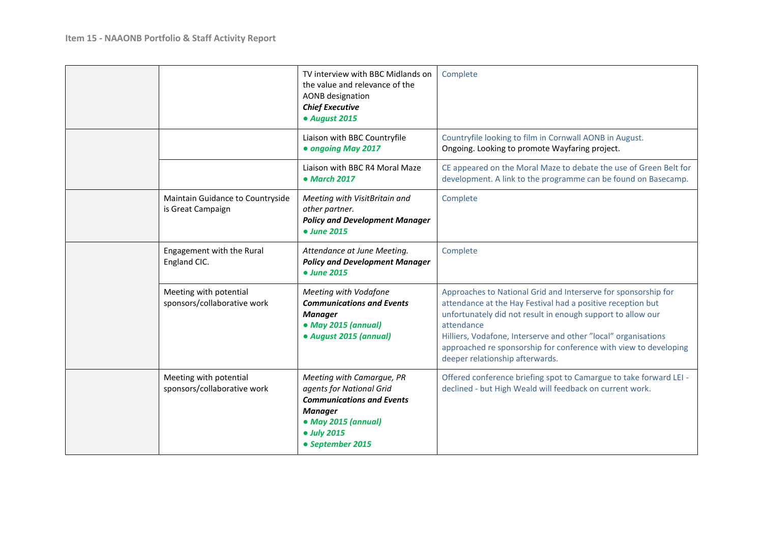|                                                       | TV interview with BBC Midlands on<br>the value and relevance of the<br><b>AONB</b> designation<br><b>Chief Executive</b><br>· August 2015                             | Complete                                                                                                                                                                                                                                                                                                                                                                            |
|-------------------------------------------------------|-----------------------------------------------------------------------------------------------------------------------------------------------------------------------|-------------------------------------------------------------------------------------------------------------------------------------------------------------------------------------------------------------------------------------------------------------------------------------------------------------------------------------------------------------------------------------|
|                                                       | Liaison with BBC Countryfile<br>• ongoing May 2017                                                                                                                    | Countryfile looking to film in Cornwall AONB in August.<br>Ongoing. Looking to promote Wayfaring project.                                                                                                                                                                                                                                                                           |
|                                                       | Liaison with BBC R4 Moral Maze<br>• March 2017                                                                                                                        | CE appeared on the Moral Maze to debate the use of Green Belt for<br>development. A link to the programme can be found on Basecamp.                                                                                                                                                                                                                                                 |
| Maintain Guidance to Countryside<br>is Great Campaign | Meeting with VisitBritain and<br>other partner.<br><b>Policy and Development Manager</b><br>• June 2015                                                               | Complete                                                                                                                                                                                                                                                                                                                                                                            |
| Engagement with the Rural<br>England CIC.             | Attendance at June Meeting.<br><b>Policy and Development Manager</b><br>• June 2015                                                                                   | Complete                                                                                                                                                                                                                                                                                                                                                                            |
| Meeting with potential<br>sponsors/collaborative work | Meeting with Vodafone<br><b>Communications and Events</b><br><b>Manager</b><br>• May 2015 (annual)<br>· August 2015 (annual)                                          | Approaches to National Grid and Interserve for sponsorship for<br>attendance at the Hay Festival had a positive reception but<br>unfortunately did not result in enough support to allow our<br>attendance<br>Hilliers, Vodafone, Interserve and other "local" organisations<br>approached re sponsorship for conference with view to developing<br>deeper relationship afterwards. |
| Meeting with potential<br>sponsors/collaborative work | Meeting with Camargue, PR<br>agents for National Grid<br><b>Communications and Events</b><br><b>Manager</b><br>• May 2015 (annual)<br>• July 2015<br>• September 2015 | Offered conference briefing spot to Camargue to take forward LEI -<br>declined - but High Weald will feedback on current work.                                                                                                                                                                                                                                                      |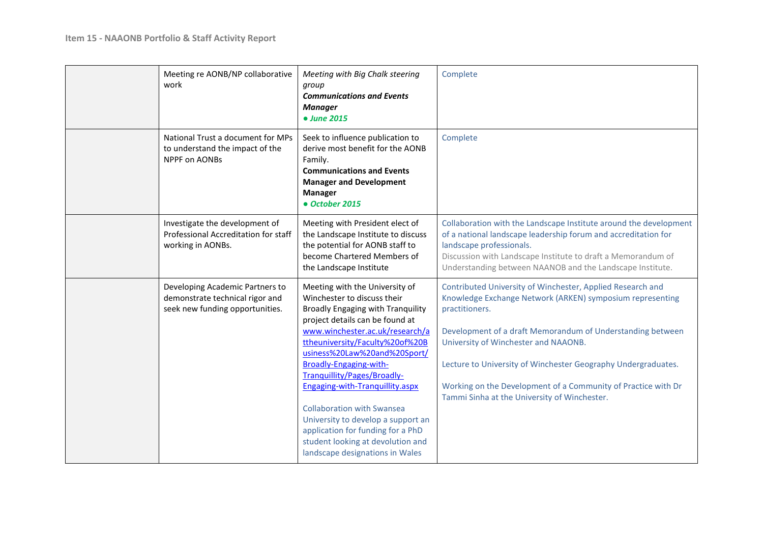| Meeting re AONB/NP collaborative<br>work                                                              | Meeting with Big Chalk steering<br>group<br><b>Communications and Events</b><br><b>Manager</b><br>• June 2015                                                                                                                                                                                                                                                                                                                                                                                                                          | Complete                                                                                                                                                                                                                                                                                                                                                                                                                          |
|-------------------------------------------------------------------------------------------------------|----------------------------------------------------------------------------------------------------------------------------------------------------------------------------------------------------------------------------------------------------------------------------------------------------------------------------------------------------------------------------------------------------------------------------------------------------------------------------------------------------------------------------------------|-----------------------------------------------------------------------------------------------------------------------------------------------------------------------------------------------------------------------------------------------------------------------------------------------------------------------------------------------------------------------------------------------------------------------------------|
| National Trust a document for MPs<br>to understand the impact of the<br><b>NPPF on AONBs</b>          | Seek to influence publication to<br>derive most benefit for the AONB<br>Family.<br><b>Communications and Events</b><br><b>Manager and Development</b><br><b>Manager</b><br>• October 2015                                                                                                                                                                                                                                                                                                                                              | Complete                                                                                                                                                                                                                                                                                                                                                                                                                          |
| Investigate the development of<br>Professional Accreditation for staff<br>working in AONBs.           | Meeting with President elect of<br>the Landscape Institute to discuss<br>the potential for AONB staff to<br>become Chartered Members of<br>the Landscape Institute                                                                                                                                                                                                                                                                                                                                                                     | Collaboration with the Landscape Institute around the development<br>of a national landscape leadership forum and accreditation for<br>landscape professionals.<br>Discussion with Landscape Institute to draft a Memorandum of<br>Understanding between NAANOB and the Landscape Institute.                                                                                                                                      |
| Developing Academic Partners to<br>demonstrate technical rigor and<br>seek new funding opportunities. | Meeting with the University of<br>Winchester to discuss their<br><b>Broadly Engaging with Tranquility</b><br>project details can be found at<br>www.winchester.ac.uk/research/a<br>ttheuniversity/Faculty%20of%20B<br>usiness%20Law%20and%20Sport/<br>Broadly-Engaging-with-<br>Tranquillity/Pages/Broadly-<br>Engaging-with-Tranquillity.aspx<br><b>Collaboration with Swansea</b><br>University to develop a support an<br>application for funding for a PhD<br>student looking at devolution and<br>landscape designations in Wales | Contributed University of Winchester, Applied Research and<br>Knowledge Exchange Network (ARKEN) symposium representing<br>practitioners.<br>Development of a draft Memorandum of Understanding between<br>University of Winchester and NAAONB.<br>Lecture to University of Winchester Geography Undergraduates.<br>Working on the Development of a Community of Practice with Dr<br>Tammi Sinha at the University of Winchester. |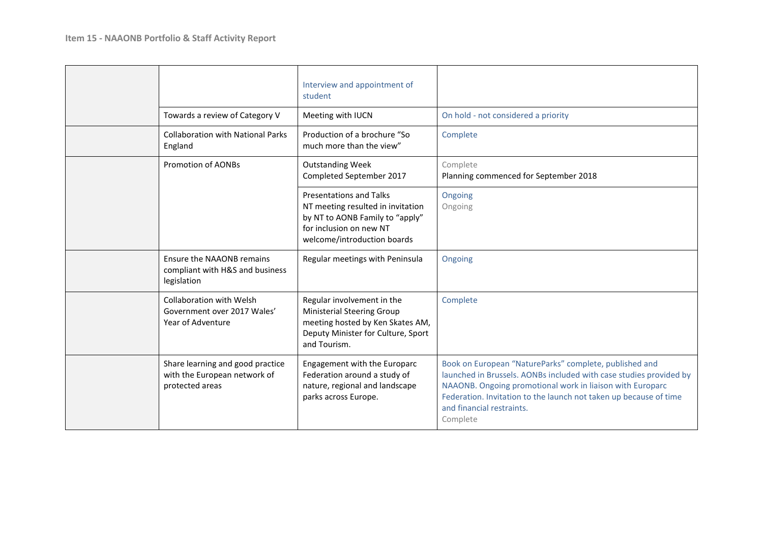|                                                                                     | Interview and appointment of<br>student                                                                                                                          |                                                                                                                                                                                                                                                                                                         |
|-------------------------------------------------------------------------------------|------------------------------------------------------------------------------------------------------------------------------------------------------------------|---------------------------------------------------------------------------------------------------------------------------------------------------------------------------------------------------------------------------------------------------------------------------------------------------------|
| Towards a review of Category V                                                      | Meeting with IUCN                                                                                                                                                | On hold - not considered a priority                                                                                                                                                                                                                                                                     |
| <b>Collaboration with National Parks</b><br>England                                 | Production of a brochure "So<br>much more than the view"                                                                                                         | Complete                                                                                                                                                                                                                                                                                                |
| <b>Promotion of AONBs</b>                                                           | <b>Outstanding Week</b><br>Completed September 2017                                                                                                              | Complete<br>Planning commenced for September 2018                                                                                                                                                                                                                                                       |
|                                                                                     | <b>Presentations and Talks</b><br>NT meeting resulted in invitation<br>by NT to AONB Family to "apply"<br>for inclusion on new NT<br>welcome/introduction boards | Ongoing<br>Ongoing                                                                                                                                                                                                                                                                                      |
| <b>Ensure the NAAONB remains</b><br>compliant with H&S and business<br>legislation  | Regular meetings with Peninsula                                                                                                                                  | Ongoing                                                                                                                                                                                                                                                                                                 |
| <b>Collaboration with Welsh</b><br>Government over 2017 Wales'<br>Year of Adventure | Regular involvement in the<br>Ministerial Steering Group<br>meeting hosted by Ken Skates AM,<br>Deputy Minister for Culture, Sport<br>and Tourism.               | Complete                                                                                                                                                                                                                                                                                                |
| Share learning and good practice<br>with the European network of<br>protected areas | Engagement with the Europarc<br>Federation around a study of<br>nature, regional and landscape<br>parks across Europe.                                           | Book on European "NatureParks" complete, published and<br>launched in Brussels. AONBs included with case studies provided by<br>NAAONB. Ongoing promotional work in liaison with Europarc<br>Federation. Invitation to the launch not taken up because of time<br>and financial restraints.<br>Complete |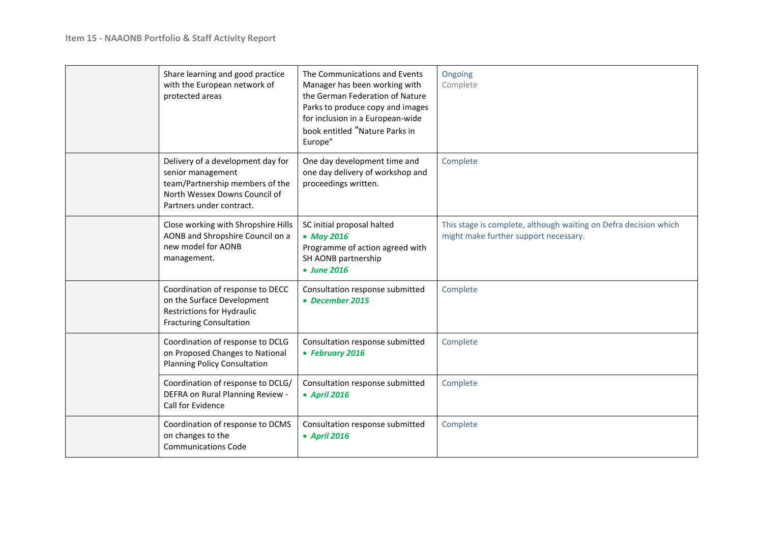| Share learning and good practice<br>with the European network of<br>protected areas                                                                    | The Communications and Events<br>Manager has been working with<br>the German Federation of Nature<br>Parks to produce copy and images<br>for inclusion in a European-wide<br>book entitled "Nature Parks in<br>Europe" | Ongoing<br>Complete                                                                                       |
|--------------------------------------------------------------------------------------------------------------------------------------------------------|------------------------------------------------------------------------------------------------------------------------------------------------------------------------------------------------------------------------|-----------------------------------------------------------------------------------------------------------|
| Delivery of a development day for<br>senior management<br>team/Partnership members of the<br>North Wessex Downs Council of<br>Partners under contract. | One day development time and<br>one day delivery of workshop and<br>proceedings written.                                                                                                                               | Complete                                                                                                  |
| Close working with Shropshire Hills<br>AONB and Shropshire Council on a<br>new model for AONB<br>management.                                           | SC initial proposal halted<br>• May 2016<br>Programme of action agreed with<br>SH AONB partnership<br>• June 2016                                                                                                      | This stage is complete, although waiting on Defra decision which<br>might make further support necessary. |
| Coordination of response to DECC<br>on the Surface Development<br><b>Restrictions for Hydraulic</b><br><b>Fracturing Consultation</b>                  | Consultation response submitted<br>• December 2015                                                                                                                                                                     | Complete                                                                                                  |
| Coordination of response to DCLG<br>on Proposed Changes to National<br><b>Planning Policy Consultation</b>                                             | Consultation response submitted<br>• February 2016                                                                                                                                                                     | Complete                                                                                                  |
| Coordination of response to DCLG/<br>DEFRA on Rural Planning Review -<br>Call for Evidence                                                             | Consultation response submitted<br>• April 2016                                                                                                                                                                        | Complete                                                                                                  |
| Coordination of response to DCMS<br>on changes to the<br><b>Communications Code</b>                                                                    | Consultation response submitted<br>• April 2016                                                                                                                                                                        | Complete                                                                                                  |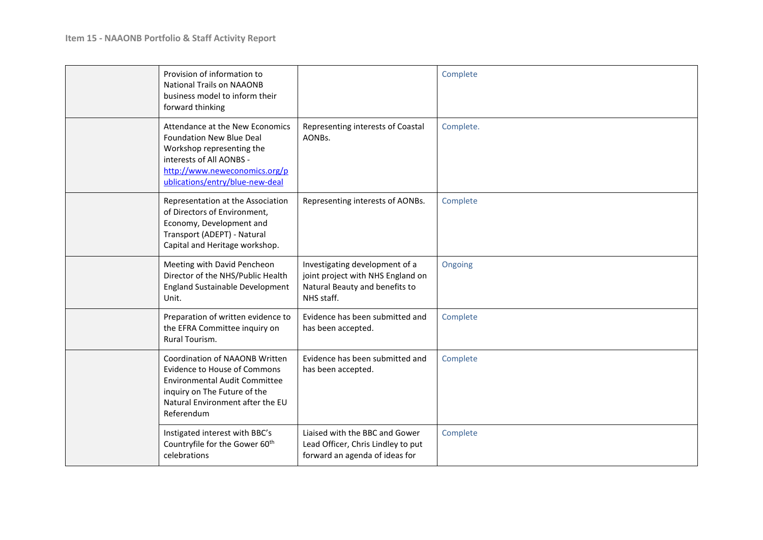| Provision of information to<br><b>National Trails on NAAONB</b><br>business model to inform their<br>forward thinking                                                                           |                                                                                                                     | Complete  |
|-------------------------------------------------------------------------------------------------------------------------------------------------------------------------------------------------|---------------------------------------------------------------------------------------------------------------------|-----------|
| Attendance at the New Economics<br><b>Foundation New Blue Deal</b><br>Workshop representing the<br>interests of All AONBS -<br>http://www.neweconomics.org/p<br>ublications/entry/blue-new-deal | Representing interests of Coastal<br>AONBs.                                                                         | Complete. |
| Representation at the Association<br>of Directors of Environment,<br>Economy, Development and<br>Transport (ADEPT) - Natural<br>Capital and Heritage workshop.                                  | Representing interests of AONBs.                                                                                    | Complete  |
| Meeting with David Pencheon<br>Director of the NHS/Public Health<br><b>England Sustainable Development</b><br>Unit.                                                                             | Investigating development of a<br>joint project with NHS England on<br>Natural Beauty and benefits to<br>NHS staff. | Ongoing   |
| Preparation of written evidence to<br>the EFRA Committee inquiry on<br>Rural Tourism.                                                                                                           | Evidence has been submitted and<br>has been accepted.                                                               | Complete  |
| <b>Coordination of NAAONB Written</b><br>Evidence to House of Commons<br><b>Environmental Audit Committee</b><br>inquiry on The Future of the<br>Natural Environment after the EU<br>Referendum | Evidence has been submitted and<br>has been accepted.                                                               | Complete  |
| Instigated interest with BBC's<br>Countryfile for the Gower 60 <sup>th</sup><br>celebrations                                                                                                    | Liaised with the BBC and Gower<br>Lead Officer, Chris Lindley to put<br>forward an agenda of ideas for              | Complete  |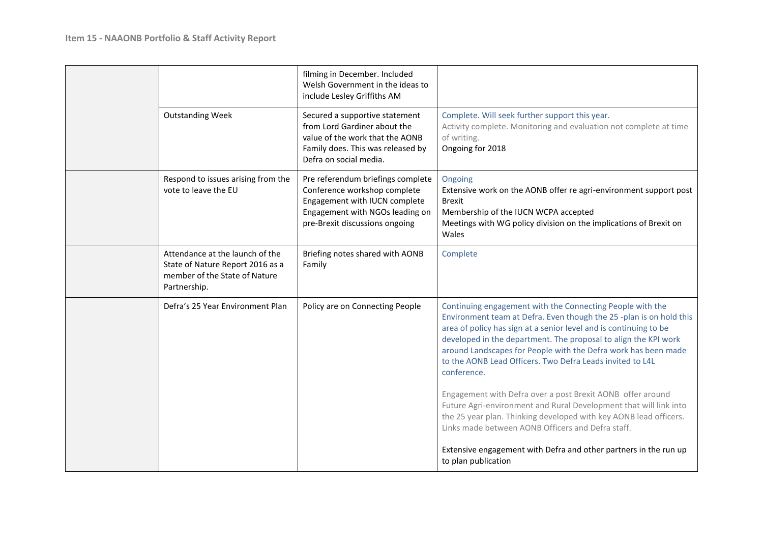|                                                                                                                      | filming in December. Included<br>Welsh Government in the ideas to<br>include Lesley Griffiths AM                                                                        |                                                                                                                                                                                                                                                                                                                                                                                                                                                                                                                                                                                                                                                                                     |
|----------------------------------------------------------------------------------------------------------------------|-------------------------------------------------------------------------------------------------------------------------------------------------------------------------|-------------------------------------------------------------------------------------------------------------------------------------------------------------------------------------------------------------------------------------------------------------------------------------------------------------------------------------------------------------------------------------------------------------------------------------------------------------------------------------------------------------------------------------------------------------------------------------------------------------------------------------------------------------------------------------|
| <b>Outstanding Week</b>                                                                                              | Secured a supportive statement<br>from Lord Gardiner about the<br>value of the work that the AONB<br>Family does. This was released by<br>Defra on social media.        | Complete. Will seek further support this year.<br>Activity complete. Monitoring and evaluation not complete at time<br>of writing.<br>Ongoing for 2018                                                                                                                                                                                                                                                                                                                                                                                                                                                                                                                              |
| Respond to issues arising from the<br>vote to leave the EU                                                           | Pre referendum briefings complete<br>Conference workshop complete<br>Engagement with IUCN complete<br>Engagement with NGOs leading on<br>pre-Brexit discussions ongoing | Ongoing<br>Extensive work on the AONB offer re agri-environment support post<br><b>Brexit</b><br>Membership of the IUCN WCPA accepted<br>Meetings with WG policy division on the implications of Brexit on<br>Wales                                                                                                                                                                                                                                                                                                                                                                                                                                                                 |
| Attendance at the launch of the<br>State of Nature Report 2016 as a<br>member of the State of Nature<br>Partnership. | Briefing notes shared with AONB<br>Family                                                                                                                               | Complete                                                                                                                                                                                                                                                                                                                                                                                                                                                                                                                                                                                                                                                                            |
| Defra's 25 Year Environment Plan                                                                                     | Policy are on Connecting People                                                                                                                                         | Continuing engagement with the Connecting People with the<br>Environment team at Defra. Even though the 25 -plan is on hold this<br>area of policy has sign at a senior level and is continuing to be<br>developed in the department. The proposal to align the KPI work<br>around Landscapes for People with the Defra work has been made<br>to the AONB Lead Officers. Two Defra Leads invited to L4L<br>conference.<br>Engagement with Defra over a post Brexit AONB offer around<br>Future Agri-environment and Rural Development that will link into<br>the 25 year plan. Thinking developed with key AONB lead officers.<br>Links made between AONB Officers and Defra staff. |
|                                                                                                                      |                                                                                                                                                                         | Extensive engagement with Defra and other partners in the run up<br>to plan publication                                                                                                                                                                                                                                                                                                                                                                                                                                                                                                                                                                                             |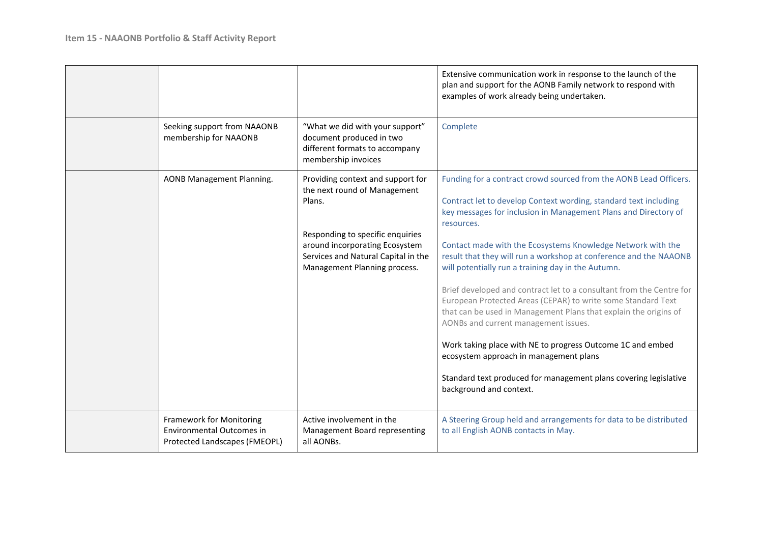|                                                                                                      |                                                                                                                                                                                                                          | Extensive communication work in response to the launch of the<br>plan and support for the AONB Family network to respond with<br>examples of work already being undertaken.                                                                                                                                                                                                                                                                                                                                                                                                                                                                                                                                                                                                                                                                                                 |
|------------------------------------------------------------------------------------------------------|--------------------------------------------------------------------------------------------------------------------------------------------------------------------------------------------------------------------------|-----------------------------------------------------------------------------------------------------------------------------------------------------------------------------------------------------------------------------------------------------------------------------------------------------------------------------------------------------------------------------------------------------------------------------------------------------------------------------------------------------------------------------------------------------------------------------------------------------------------------------------------------------------------------------------------------------------------------------------------------------------------------------------------------------------------------------------------------------------------------------|
| Seeking support from NAAONB<br>membership for NAAONB                                                 | "What we did with your support"<br>document produced in two<br>different formats to accompany<br>membership invoices                                                                                                     | Complete                                                                                                                                                                                                                                                                                                                                                                                                                                                                                                                                                                                                                                                                                                                                                                                                                                                                    |
| <b>AONB Management Planning.</b>                                                                     | Providing context and support for<br>the next round of Management<br>Plans.<br>Responding to specific enquiries<br>around incorporating Ecosystem<br>Services and Natural Capital in the<br>Management Planning process. | Funding for a contract crowd sourced from the AONB Lead Officers.<br>Contract let to develop Context wording, standard text including<br>key messages for inclusion in Management Plans and Directory of<br>resources.<br>Contact made with the Ecosystems Knowledge Network with the<br>result that they will run a workshop at conference and the NAAONB<br>will potentially run a training day in the Autumn.<br>Brief developed and contract let to a consultant from the Centre for<br>European Protected Areas (CEPAR) to write some Standard Text<br>that can be used in Management Plans that explain the origins of<br>AONBs and current management issues.<br>Work taking place with NE to progress Outcome 1C and embed<br>ecosystem approach in management plans<br>Standard text produced for management plans covering legislative<br>background and context. |
| <b>Framework for Monitoring</b><br><b>Environmental Outcomes in</b><br>Protected Landscapes (FMEOPL) | Active involvement in the<br>Management Board representing<br>all AONBs.                                                                                                                                                 | A Steering Group held and arrangements for data to be distributed<br>to all English AONB contacts in May.                                                                                                                                                                                                                                                                                                                                                                                                                                                                                                                                                                                                                                                                                                                                                                   |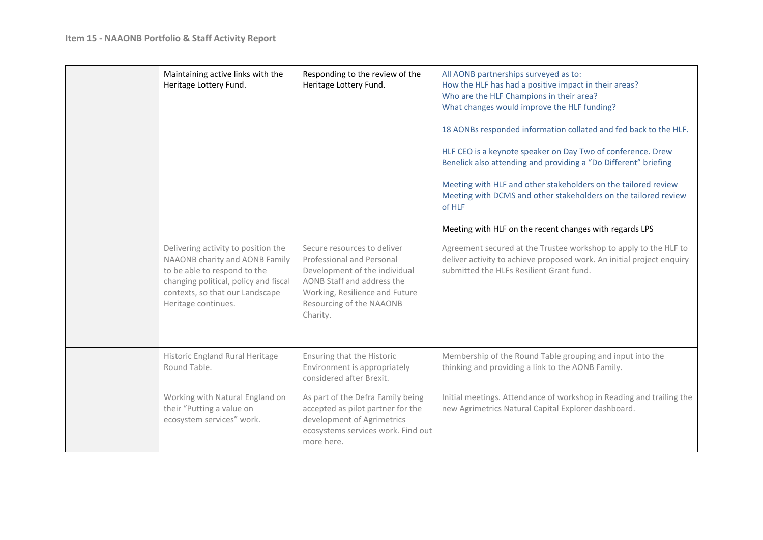| Maintaining active links with the<br>Heritage Lottery Fund.                                                                                                                                              | Responding to the review of the<br>Heritage Lottery Fund.                                                                                                                                         | All AONB partnerships surveyed as to:<br>How the HLF has had a positive impact in their areas?<br>Who are the HLF Champions in their area?<br>What changes would improve the HLF funding?<br>18 AONBs responded information collated and fed back to the HLF.<br>HLF CEO is a keynote speaker on Day Two of conference. Drew<br>Benelick also attending and providing a "Do Different" briefing<br>Meeting with HLF and other stakeholders on the tailored review<br>Meeting with DCMS and other stakeholders on the tailored review<br>of HLF |
|----------------------------------------------------------------------------------------------------------------------------------------------------------------------------------------------------------|---------------------------------------------------------------------------------------------------------------------------------------------------------------------------------------------------|------------------------------------------------------------------------------------------------------------------------------------------------------------------------------------------------------------------------------------------------------------------------------------------------------------------------------------------------------------------------------------------------------------------------------------------------------------------------------------------------------------------------------------------------|
|                                                                                                                                                                                                          |                                                                                                                                                                                                   | Meeting with HLF on the recent changes with regards LPS                                                                                                                                                                                                                                                                                                                                                                                                                                                                                        |
| Delivering activity to position the<br>NAAONB charity and AONB Family<br>to be able to respond to the<br>changing political, policy and fiscal<br>contexts, so that our Landscape<br>Heritage continues. | Secure resources to deliver<br>Professional and Personal<br>Development of the individual<br>AONB Staff and address the<br>Working, Resilience and Future<br>Resourcing of the NAAONB<br>Charity. | Agreement secured at the Trustee workshop to apply to the HLF to<br>deliver activity to achieve proposed work. An initial project enquiry<br>submitted the HLFs Resilient Grant fund.                                                                                                                                                                                                                                                                                                                                                          |
| Historic England Rural Heritage<br>Round Table.                                                                                                                                                          | Ensuring that the Historic<br>Environment is appropriately<br>considered after Brexit.                                                                                                            | Membership of the Round Table grouping and input into the<br>thinking and providing a link to the AONB Family.                                                                                                                                                                                                                                                                                                                                                                                                                                 |
| Working with Natural England on<br>their "Putting a value on<br>ecosystem services" work.                                                                                                                | As part of the Defra Family being<br>accepted as pilot partner for the<br>development of Agrimetrics<br>ecosystems services work. Find out<br>more here.                                          | Initial meetings. Attendance of workshop in Reading and trailing the<br>new Agrimetrics Natural Capital Explorer dashboard.                                                                                                                                                                                                                                                                                                                                                                                                                    |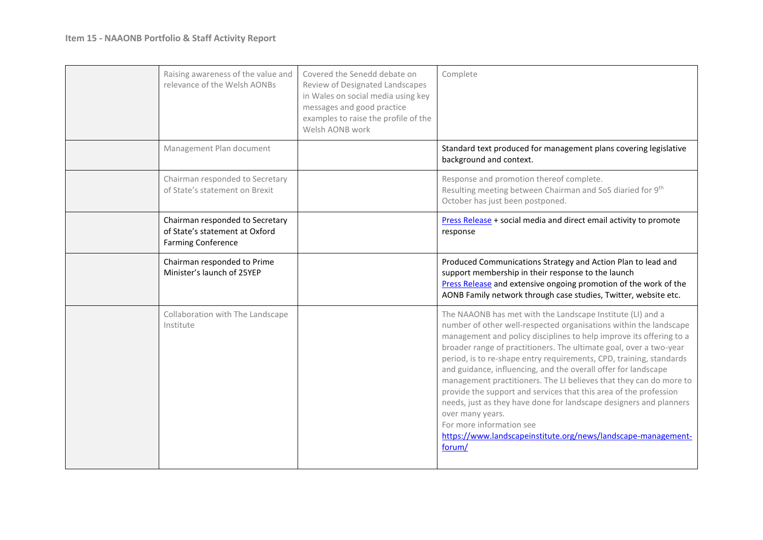| Raising awareness of the value and<br>relevance of the Welsh AONBs                             | Covered the Senedd debate on<br>Review of Designated Landscapes<br>in Wales on social media using key<br>messages and good practice<br>examples to raise the profile of the<br>Welsh AONB work | Complete                                                                                                                                                                                                                                                                                                                                                                                                                                                                                                                                                                                                                                                                                                                                                          |
|------------------------------------------------------------------------------------------------|------------------------------------------------------------------------------------------------------------------------------------------------------------------------------------------------|-------------------------------------------------------------------------------------------------------------------------------------------------------------------------------------------------------------------------------------------------------------------------------------------------------------------------------------------------------------------------------------------------------------------------------------------------------------------------------------------------------------------------------------------------------------------------------------------------------------------------------------------------------------------------------------------------------------------------------------------------------------------|
| Management Plan document                                                                       |                                                                                                                                                                                                | Standard text produced for management plans covering legislative<br>background and context.                                                                                                                                                                                                                                                                                                                                                                                                                                                                                                                                                                                                                                                                       |
| Chairman responded to Secretary<br>of State's statement on Brexit                              |                                                                                                                                                                                                | Response and promotion thereof complete.<br>Resulting meeting between Chairman and SoS diaried for 9th<br>October has just been postponed.                                                                                                                                                                                                                                                                                                                                                                                                                                                                                                                                                                                                                        |
| Chairman responded to Secretary<br>of State's statement at Oxford<br><b>Farming Conference</b> |                                                                                                                                                                                                | Press Release + social media and direct email activity to promote<br>response                                                                                                                                                                                                                                                                                                                                                                                                                                                                                                                                                                                                                                                                                     |
| Chairman responded to Prime<br>Minister's launch of 25YEP                                      |                                                                                                                                                                                                | Produced Communications Strategy and Action Plan to lead and<br>support membership in their response to the launch<br>Press Release and extensive ongoing promotion of the work of the<br>AONB Family network through case studies, Twitter, website etc.                                                                                                                                                                                                                                                                                                                                                                                                                                                                                                         |
| Collaboration with The Landscape<br>Institute                                                  |                                                                                                                                                                                                | The NAAONB has met with the Landscape Institute (LI) and a<br>number of other well-respected organisations within the landscape<br>management and policy disciplines to help improve its offering to a<br>broader range of practitioners. The ultimate goal, over a two-year<br>period, is to re-shape entry requirements, CPD, training, standards<br>and guidance, influencing, and the overall offer for landscape<br>management practitioners. The LI believes that they can do more to<br>provide the support and services that this area of the profession<br>needs, just as they have done for landscape designers and planners<br>over many years.<br>For more information see<br>https://www.landscapeinstitute.org/news/landscape-management-<br>forum/ |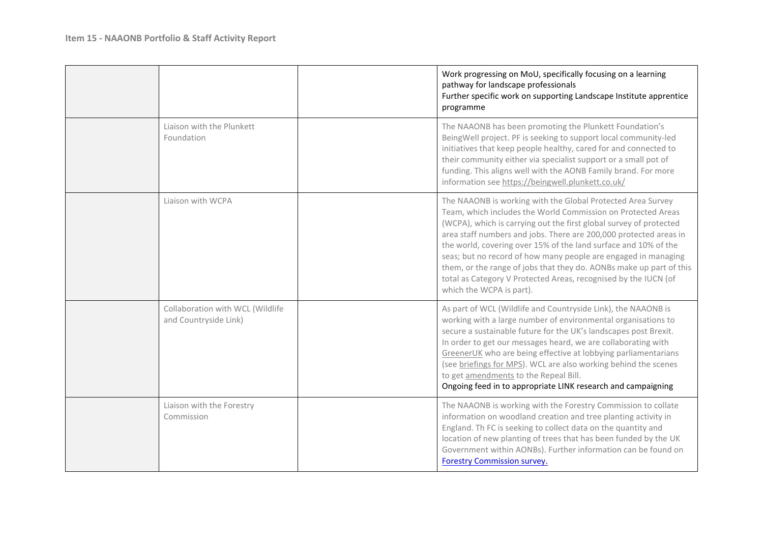|                                                           | Work progressing on MoU, specifically focusing on a learning<br>pathway for landscape professionals<br>Further specific work on supporting Landscape Institute apprentice<br>programme                                                                                                                                                                                                                                                                                                                                                                                            |
|-----------------------------------------------------------|-----------------------------------------------------------------------------------------------------------------------------------------------------------------------------------------------------------------------------------------------------------------------------------------------------------------------------------------------------------------------------------------------------------------------------------------------------------------------------------------------------------------------------------------------------------------------------------|
| Liaison with the Plunkett<br>Foundation                   | The NAAONB has been promoting the Plunkett Foundation's<br>BeingWell project. PF is seeking to support local community-led<br>initiatives that keep people healthy, cared for and connected to<br>their community either via specialist support or a small pot of<br>funding. This aligns well with the AONB Family brand. For more<br>information see https://beingwell.plunkett.co.uk/                                                                                                                                                                                          |
| Liaison with WCPA                                         | The NAAONB is working with the Global Protected Area Survey<br>Team, which includes the World Commission on Protected Areas<br>(WCPA), which is carrying out the first global survey of protected<br>area staff numbers and jobs. There are 200,000 protected areas in<br>the world, covering over 15% of the land surface and 10% of the<br>seas; but no record of how many people are engaged in managing<br>them, or the range of jobs that they do. AONBs make up part of this<br>total as Category V Protected Areas, recognised by the IUCN (of<br>which the WCPA is part). |
| Collaboration with WCL (Wildlife<br>and Countryside Link) | As part of WCL (Wildlife and Countryside Link), the NAAONB is<br>working with a large number of environmental organisations to<br>secure a sustainable future for the UK's landscapes post Brexit.<br>In order to get our messages heard, we are collaborating with<br>GreenerUK who are being effective at lobbying parliamentarians<br>(see briefings for MPS). WCL are also working behind the scenes<br>to get amendments to the Repeal Bill.<br>Ongoing feed in to appropriate LINK research and campaigning                                                                 |
| Liaison with the Forestry<br>Commission                   | The NAAONB is working with the Forestry Commission to collate<br>information on woodland creation and tree planting activity in<br>England. Th FC is seeking to collect data on the quantity and<br>location of new planting of trees that has been funded by the UK<br>Government within AONBs). Further information can be found on<br><b>Forestry Commission survey.</b>                                                                                                                                                                                                       |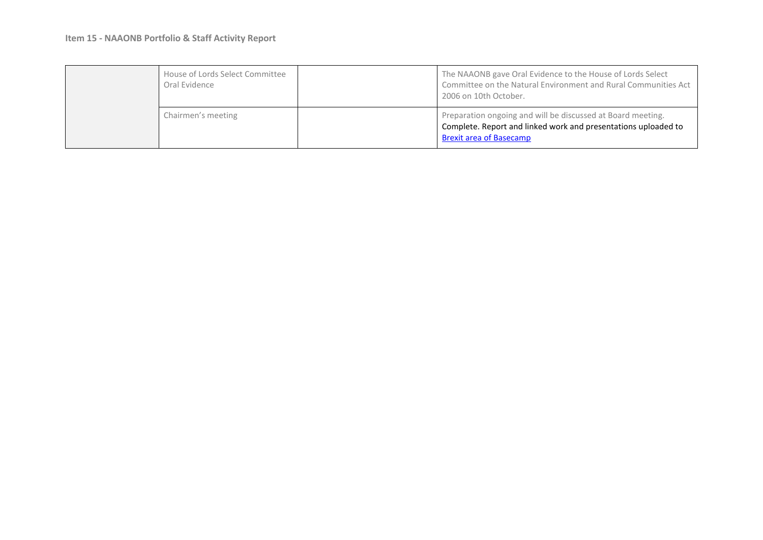| House of Lords Select Committee<br>Oral Evidence | The NAAONB gave Oral Evidence to the House of Lords Select<br>Committee on the Natural Environment and Rural Communities Act<br>2006 on 10th October.           |
|--------------------------------------------------|-----------------------------------------------------------------------------------------------------------------------------------------------------------------|
| Chairmen's meeting                               | Preparation ongoing and will be discussed at Board meeting.<br>Complete. Report and linked work and presentations uploaded to<br><b>Brexit area of Basecamp</b> |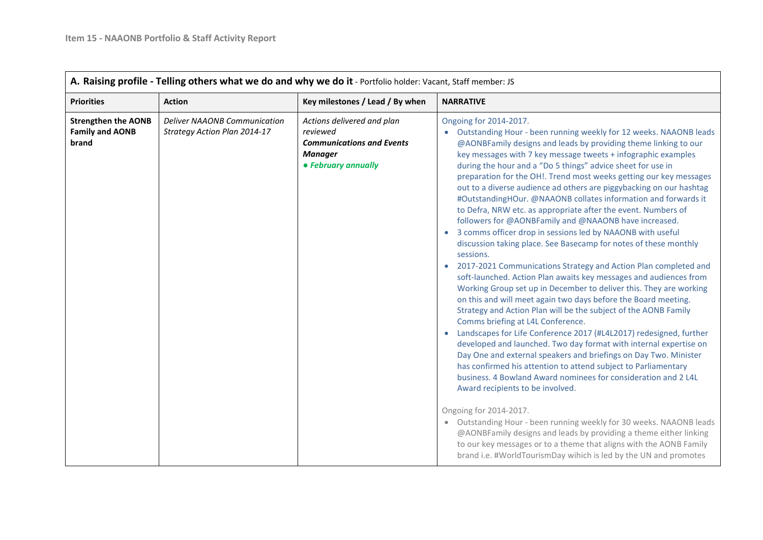| A. Raising profile - Telling others what we do and why we do it - Portfolio holder: Vacant, Staff member: JS |                                                                     |                                                                                                                     |                                                                                                                                                                                                                                                                                                                                                                                                                                                                                                                                                                                                                                                                                                                                                                                                                                                                                                                                                                                                                                                                                                                                                                                                                                                                                                                                                                                                                                                                                                                                                                                                                                                                                                                                                                                                                                                                                                                 |
|--------------------------------------------------------------------------------------------------------------|---------------------------------------------------------------------|---------------------------------------------------------------------------------------------------------------------|-----------------------------------------------------------------------------------------------------------------------------------------------------------------------------------------------------------------------------------------------------------------------------------------------------------------------------------------------------------------------------------------------------------------------------------------------------------------------------------------------------------------------------------------------------------------------------------------------------------------------------------------------------------------------------------------------------------------------------------------------------------------------------------------------------------------------------------------------------------------------------------------------------------------------------------------------------------------------------------------------------------------------------------------------------------------------------------------------------------------------------------------------------------------------------------------------------------------------------------------------------------------------------------------------------------------------------------------------------------------------------------------------------------------------------------------------------------------------------------------------------------------------------------------------------------------------------------------------------------------------------------------------------------------------------------------------------------------------------------------------------------------------------------------------------------------------------------------------------------------------------------------------------------------|
| <b>Priorities</b>                                                                                            | <b>Action</b>                                                       | Key milestones / Lead / By when                                                                                     | <b>NARRATIVE</b>                                                                                                                                                                                                                                                                                                                                                                                                                                                                                                                                                                                                                                                                                                                                                                                                                                                                                                                                                                                                                                                                                                                                                                                                                                                                                                                                                                                                                                                                                                                                                                                                                                                                                                                                                                                                                                                                                                |
| <b>Strengthen the AONB</b><br><b>Family and AONB</b><br>brand                                                | <b>Deliver NAAONB Communication</b><br>Strategy Action Plan 2014-17 | Actions delivered and plan<br>reviewed<br><b>Communications and Events</b><br><b>Manager</b><br>• February annually | Ongoing for 2014-2017.<br>Outstanding Hour - been running weekly for 12 weeks. NAAONB leads<br>@AONBFamily designs and leads by providing theme linking to our<br>key messages with 7 key message tweets + infographic examples<br>during the hour and a "Do 5 things" advice sheet for use in<br>preparation for the OH!. Trend most weeks getting our key messages<br>out to a diverse audience ad others are piggybacking on our hashtag<br>#OutstandingHOur. @NAAONB collates information and forwards it<br>to Defra, NRW etc. as appropriate after the event. Numbers of<br>followers for @AONBFamily and @NAAONB have increased.<br>3 comms officer drop in sessions led by NAAONB with useful<br>$\bullet$<br>discussion taking place. See Basecamp for notes of these monthly<br>sessions.<br>2017-2021 Communications Strategy and Action Plan completed and<br>soft-launched. Action Plan awaits key messages and audiences from<br>Working Group set up in December to deliver this. They are working<br>on this and will meet again two days before the Board meeting.<br>Strategy and Action Plan will be the subject of the AONB Family<br>Comms briefing at L4L Conference.<br>Landscapes for Life Conference 2017 (#L4L2017) redesigned, further<br>$\bullet$<br>developed and launched. Two day format with internal expertise on<br>Day One and external speakers and briefings on Day Two. Minister<br>has confirmed his attention to attend subject to Parliamentary<br>business. 4 Bowland Award nominees for consideration and 2 L4L<br>Award recipients to be involved.<br>Ongoing for 2014-2017.<br>• Outstanding Hour - been running weekly for 30 weeks. NAAONB leads<br>@AONBFamily designs and leads by providing a theme either linking<br>to our key messages or to a theme that aligns with the AONB Family<br>brand i.e. #WorldTourismDay wihich is led by the UN and promotes |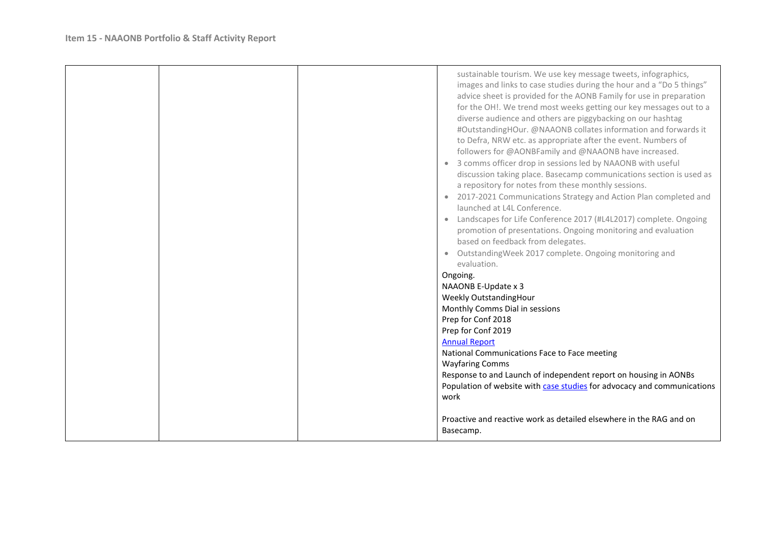|  | sustainable tourism. We use key message tweets, infographics,<br>images and links to case studies during the hour and a "Do 5 things"<br>advice sheet is provided for the AONB Family for use in preparation<br>for the OH!. We trend most weeks getting our key messages out to a<br>diverse audience and others are piggybacking on our hashtag<br>#OutstandingHOur. @NAAONB collates information and forwards it<br>to Defra, NRW etc. as appropriate after the event. Numbers of<br>followers for @AONBFamily and @NAAONB have increased.<br>• 3 comms officer drop in sessions led by NAAONB with useful<br>discussion taking place. Basecamp communications section is used as<br>a repository for notes from these monthly sessions.<br>• 2017-2021 Communications Strategy and Action Plan completed and<br>launched at L4L Conference.<br>Landscapes for Life Conference 2017 (#L4L2017) complete. Ongoing<br>promotion of presentations. Ongoing monitoring and evaluation<br>based on feedback from delegates.<br>• Outstanding Week 2017 complete. Ongoing monitoring and<br>evaluation.<br>Ongoing.<br>NAAONB E-Update x 3<br>Weekly OutstandingHour<br>Monthly Comms Dial in sessions<br>Prep for Conf 2018<br>Prep for Conf 2019<br><b>Annual Report</b><br>National Communications Face to Face meeting<br><b>Wayfaring Comms</b><br>Response to and Launch of independent report on housing in AONBs |
|--|-----------------------------------------------------------------------------------------------------------------------------------------------------------------------------------------------------------------------------------------------------------------------------------------------------------------------------------------------------------------------------------------------------------------------------------------------------------------------------------------------------------------------------------------------------------------------------------------------------------------------------------------------------------------------------------------------------------------------------------------------------------------------------------------------------------------------------------------------------------------------------------------------------------------------------------------------------------------------------------------------------------------------------------------------------------------------------------------------------------------------------------------------------------------------------------------------------------------------------------------------------------------------------------------------------------------------------------------------------------------------------------------------------------------------|
|  | Population of website with case studies for advocacy and communications<br>work<br>Proactive and reactive work as detailed elsewhere in the RAG and on                                                                                                                                                                                                                                                                                                                                                                                                                                                                                                                                                                                                                                                                                                                                                                                                                                                                                                                                                                                                                                                                                                                                                                                                                                                                |
|  | Basecamp.                                                                                                                                                                                                                                                                                                                                                                                                                                                                                                                                                                                                                                                                                                                                                                                                                                                                                                                                                                                                                                                                                                                                                                                                                                                                                                                                                                                                             |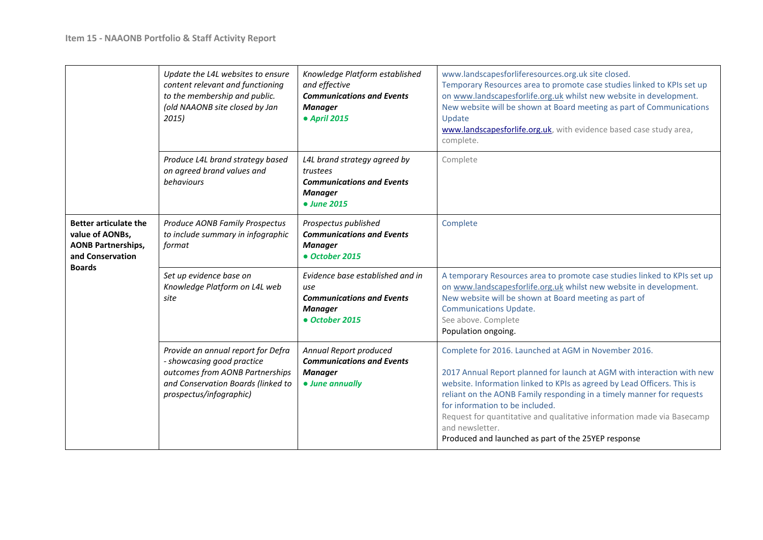|                                                                                                                   | Update the L4L websites to ensure<br>content relevant and functioning<br>to the membership and public.<br>(old NAAONB site closed by Jan<br>2015)                    | Knowledge Platform established<br>and effective<br><b>Communications and Events</b><br><b>Manager</b><br>• April 2015   | www.landscapesforliferesources.org.uk site closed.<br>Temporary Resources area to promote case studies linked to KPIs set up<br>on www.landscapesforlife.org.uk whilst new website in development.<br>New website will be shown at Board meeting as part of Communications<br>Update<br>www.landscapesforlife.org.uk, with evidence based case study area,<br>complete.                                                                                                   |
|-------------------------------------------------------------------------------------------------------------------|----------------------------------------------------------------------------------------------------------------------------------------------------------------------|-------------------------------------------------------------------------------------------------------------------------|---------------------------------------------------------------------------------------------------------------------------------------------------------------------------------------------------------------------------------------------------------------------------------------------------------------------------------------------------------------------------------------------------------------------------------------------------------------------------|
|                                                                                                                   | Produce L4L brand strategy based<br>on agreed brand values and<br>behaviours                                                                                         | L4L brand strategy agreed by<br>trustees<br><b>Communications and Events</b><br><b>Manager</b><br>• June 2015           | Complete                                                                                                                                                                                                                                                                                                                                                                                                                                                                  |
| <b>Better articulate the</b><br>value of AONBs,<br><b>AONB Partnerships,</b><br>and Conservation<br><b>Boards</b> | Produce AONB Family Prospectus<br>to include summary in infographic<br>format                                                                                        | Prospectus published<br><b>Communications and Events</b><br><b>Manager</b><br>• October 2015                            | Complete                                                                                                                                                                                                                                                                                                                                                                                                                                                                  |
|                                                                                                                   | Set up evidence base on<br>Knowledge Platform on L4L web<br>site                                                                                                     | Evidence base established and in<br>use<br><b>Communications and Events</b><br><b>Manager</b><br>$\bullet$ October 2015 | A temporary Resources area to promote case studies linked to KPIs set up<br>on www.landscapesforlife.org.uk whilst new website in development.<br>New website will be shown at Board meeting as part of<br><b>Communications Update.</b><br>See above. Complete<br>Population ongoing.                                                                                                                                                                                    |
|                                                                                                                   | Provide an annual report for Defra<br>- showcasing good practice<br>outcomes from AONB Partnerships<br>and Conservation Boards (linked to<br>prospectus/infographic) | Annual Report produced<br><b>Communications and Events</b><br><b>Manager</b><br>• June annually                         | Complete for 2016. Launched at AGM in November 2016.<br>2017 Annual Report planned for launch at AGM with interaction with new<br>website. Information linked to KPIs as agreed by Lead Officers. This is<br>reliant on the AONB Family responding in a timely manner for requests<br>for information to be included.<br>Request for quantitative and qualitative information made via Basecamp<br>and newsletter.<br>Produced and launched as part of the 25YEP response |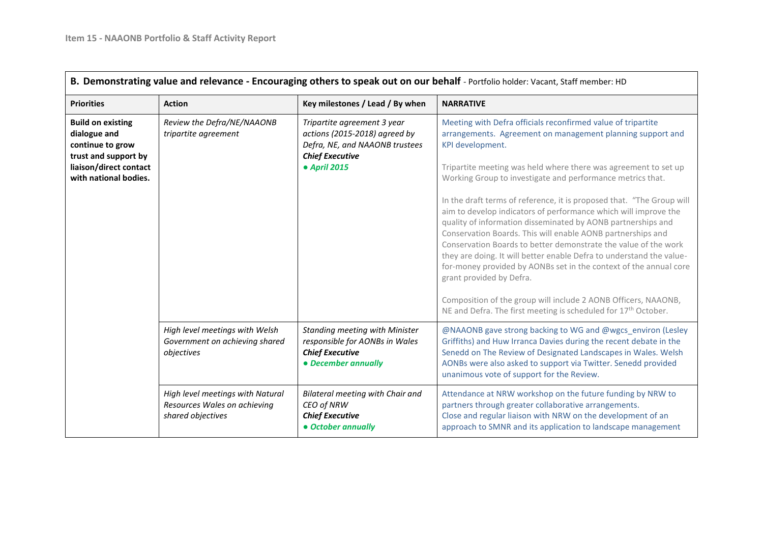$\Gamma$ 

| B. Demonstrating value and relevance - Encouraging others to speak out on our behalf - Portfolio holder: Vacant, Staff member: HD       |                                                                                       |                                                                                                                                          |                                                                                                                                                                                                                                                                                                                                                                                                                                                                                                                                                                                                                                                                                                                                                                                                                                                                                                                                                        |
|-----------------------------------------------------------------------------------------------------------------------------------------|---------------------------------------------------------------------------------------|------------------------------------------------------------------------------------------------------------------------------------------|--------------------------------------------------------------------------------------------------------------------------------------------------------------------------------------------------------------------------------------------------------------------------------------------------------------------------------------------------------------------------------------------------------------------------------------------------------------------------------------------------------------------------------------------------------------------------------------------------------------------------------------------------------------------------------------------------------------------------------------------------------------------------------------------------------------------------------------------------------------------------------------------------------------------------------------------------------|
| <b>Priorities</b>                                                                                                                       | <b>Action</b>                                                                         | Key milestones / Lead / By when                                                                                                          | <b>NARRATIVE</b>                                                                                                                                                                                                                                                                                                                                                                                                                                                                                                                                                                                                                                                                                                                                                                                                                                                                                                                                       |
| <b>Build on existing</b><br>dialogue and<br>continue to grow<br>trust and support by<br>liaison/direct contact<br>with national bodies. | Review the Defra/NE/NAAONB<br>tripartite agreement                                    | Tripartite agreement 3 year<br>actions (2015-2018) agreed by<br>Defra, NE, and NAAONB trustees<br><b>Chief Executive</b><br>• April 2015 | Meeting with Defra officials reconfirmed value of tripartite<br>arrangements. Agreement on management planning support and<br>KPI development.<br>Tripartite meeting was held where there was agreement to set up<br>Working Group to investigate and performance metrics that.<br>In the draft terms of reference, it is proposed that. "The Group will<br>aim to develop indicators of performance which will improve the<br>quality of information disseminated by AONB partnerships and<br>Conservation Boards. This will enable AONB partnerships and<br>Conservation Boards to better demonstrate the value of the work<br>they are doing. It will better enable Defra to understand the value-<br>for-money provided by AONBs set in the context of the annual core<br>grant provided by Defra.<br>Composition of the group will include 2 AONB Officers, NAAONB,<br>NE and Defra. The first meeting is scheduled for 17 <sup>th</sup> October. |
|                                                                                                                                         | High level meetings with Welsh<br>Government on achieving shared<br>objectives        | <b>Standing meeting with Minister</b><br>responsible for AONBs in Wales<br><b>Chief Executive</b><br>• December annually                 | @NAAONB gave strong backing to WG and @wgcs environ (Lesley<br>Griffiths) and Huw Irranca Davies during the recent debate in the<br>Senedd on The Review of Designated Landscapes in Wales. Welsh<br>AONBs were also asked to support via Twitter. Senedd provided<br>unanimous vote of support for the Review.                                                                                                                                                                                                                                                                                                                                                                                                                                                                                                                                                                                                                                        |
|                                                                                                                                         | High level meetings with Natural<br>Resources Wales on achieving<br>shared objectives | Bilateral meeting with Chair and<br>CEO of NRW<br><b>Chief Executive</b><br>• October annually                                           | Attendance at NRW workshop on the future funding by NRW to<br>partners through greater collaborative arrangements.<br>Close and regular liaison with NRW on the development of an<br>approach to SMNR and its application to landscape management                                                                                                                                                                                                                                                                                                                                                                                                                                                                                                                                                                                                                                                                                                      |

Т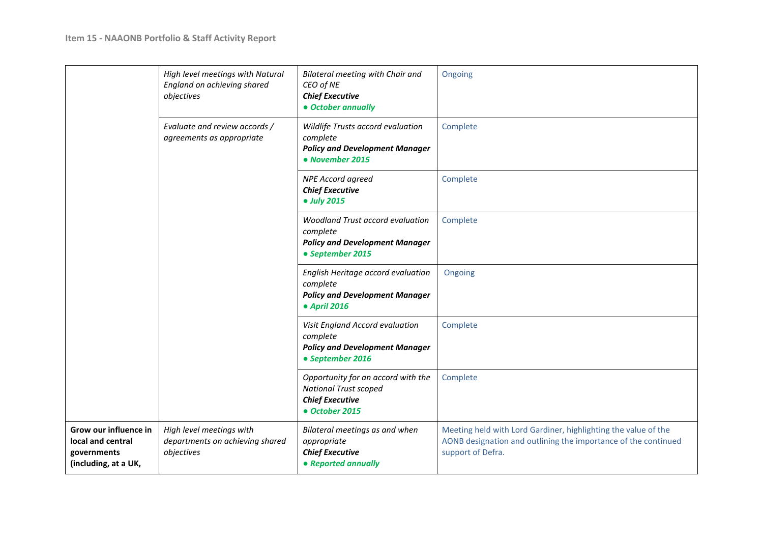|                                                                                   | High level meetings with Natural<br>England on achieving shared<br>objectives | Bilateral meeting with Chair and<br>CEO of NE<br><b>Chief Executive</b><br>• October annually                  | Ongoing                                                                                                                                               |
|-----------------------------------------------------------------------------------|-------------------------------------------------------------------------------|----------------------------------------------------------------------------------------------------------------|-------------------------------------------------------------------------------------------------------------------------------------------------------|
|                                                                                   | Evaluate and review accords /<br>agreements as appropriate                    | Wildlife Trusts accord evaluation<br>complete<br><b>Policy and Development Manager</b><br>• November 2015      | Complete                                                                                                                                              |
|                                                                                   |                                                                               | <b>NPE Accord agreed</b><br><b>Chief Executive</b><br>• July 2015                                              | Complete                                                                                                                                              |
|                                                                                   |                                                                               | Woodland Trust accord evaluation<br>complete<br><b>Policy and Development Manager</b><br>• September 2015      | Complete                                                                                                                                              |
|                                                                                   |                                                                               | English Heritage accord evaluation<br>complete<br><b>Policy and Development Manager</b><br>• April 2016        | Ongoing                                                                                                                                               |
|                                                                                   |                                                                               | Visit England Accord evaluation<br>complete<br><b>Policy and Development Manager</b><br>• September 2016       | Complete                                                                                                                                              |
|                                                                                   |                                                                               | Opportunity for an accord with the<br><b>National Trust scoped</b><br><b>Chief Executive</b><br>• October 2015 | Complete                                                                                                                                              |
| Grow our influence in<br>local and central<br>governments<br>(including, at a UK, | High level meetings with<br>departments on achieving shared<br>objectives     | Bilateral meetings as and when<br>appropriate<br><b>Chief Executive</b><br>• Reported annually                 | Meeting held with Lord Gardiner, highlighting the value of the<br>AONB designation and outlining the importance of the continued<br>support of Defra. |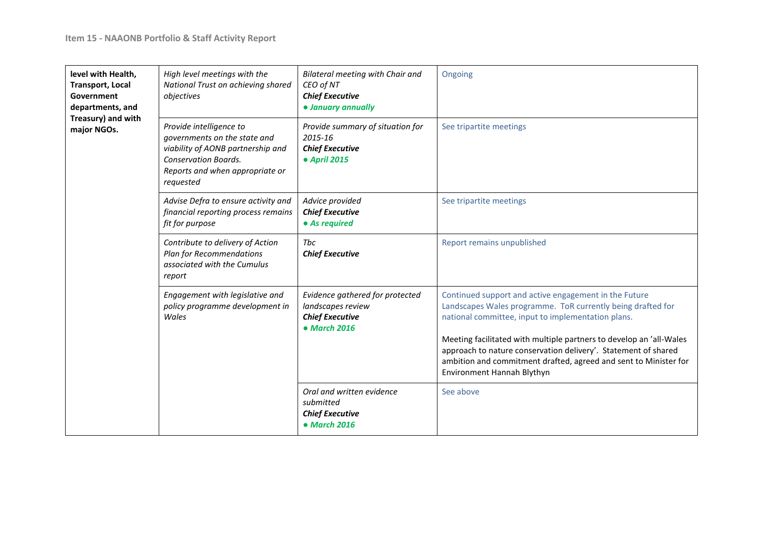| level with Health,<br><b>Transport, Local</b><br>Government<br>departments, and<br>Treasury) and with<br>major NGOs. | High level meetings with the<br>National Trust on achieving shared<br>objectives                                                                                            | Bilateral meeting with Chair and<br>CEO of NT<br><b>Chief Executive</b><br>· January annually    | Ongoing                                                                                                                                                                                                                                                                                                                                                                                                               |
|----------------------------------------------------------------------------------------------------------------------|-----------------------------------------------------------------------------------------------------------------------------------------------------------------------------|--------------------------------------------------------------------------------------------------|-----------------------------------------------------------------------------------------------------------------------------------------------------------------------------------------------------------------------------------------------------------------------------------------------------------------------------------------------------------------------------------------------------------------------|
|                                                                                                                      | Provide intelligence to<br>governments on the state and<br>viability of AONB partnership and<br><b>Conservation Boards.</b><br>Reports and when appropriate or<br>requested | Provide summary of situation for<br>2015-16<br><b>Chief Executive</b><br>• April 2015            | See tripartite meetings                                                                                                                                                                                                                                                                                                                                                                                               |
|                                                                                                                      | Advise Defra to ensure activity and<br>financial reporting process remains<br>fit for purpose                                                                               | Advice provided<br><b>Chief Executive</b><br>• As required                                       | See tripartite meetings                                                                                                                                                                                                                                                                                                                                                                                               |
|                                                                                                                      | Contribute to delivery of Action<br><b>Plan for Recommendations</b><br>associated with the Cumulus<br>report                                                                | <b>Tbc</b><br><b>Chief Executive</b>                                                             | Report remains unpublished                                                                                                                                                                                                                                                                                                                                                                                            |
|                                                                                                                      | Engagement with legislative and<br>policy programme development in<br>Wales                                                                                                 | Evidence gathered for protected<br>landscapes review<br><b>Chief Executive</b><br>$•$ March 2016 | Continued support and active engagement in the Future<br>Landscapes Wales programme. ToR currently being drafted for<br>national committee, input to implementation plans.<br>Meeting facilitated with multiple partners to develop an 'all-Wales<br>approach to nature conservation delivery'. Statement of shared<br>ambition and commitment drafted, agreed and sent to Minister for<br>Environment Hannah Blythyn |
|                                                                                                                      |                                                                                                                                                                             | Oral and written evidence<br>submitted<br><b>Chief Executive</b><br>$•$ March 2016               | See above                                                                                                                                                                                                                                                                                                                                                                                                             |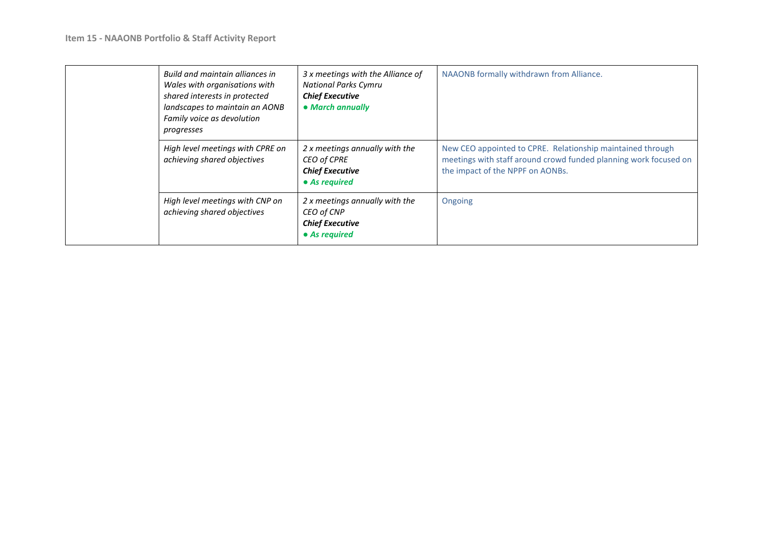|  | Build and maintain alliances in<br>Wales with organisations with<br>shared interests in protected<br>landscapes to maintain an AONB<br>Family voice as devolution<br>progresses | 3 x meetings with the Alliance of<br><b>National Parks Cymru</b><br><b>Chief Executive</b><br>• March annually | NAAONB formally withdrawn from Alliance.                                                                                                                           |
|--|---------------------------------------------------------------------------------------------------------------------------------------------------------------------------------|----------------------------------------------------------------------------------------------------------------|--------------------------------------------------------------------------------------------------------------------------------------------------------------------|
|  | High level meetings with CPRE on<br>achieving shared objectives                                                                                                                 | 2 x meetings annually with the<br><b>CEO of CPRE</b><br><b>Chief Executive</b><br>• As required                | New CEO appointed to CPRE. Relationship maintained through<br>meetings with staff around crowd funded planning work focused on<br>the impact of the NPPF on AONBs. |
|  | High level meetings with CNP on<br>achieving shared objectives                                                                                                                  | 2 x meetings annually with the<br>CEO of CNP<br><b>Chief Executive</b><br>• As required                        | Ongoing                                                                                                                                                            |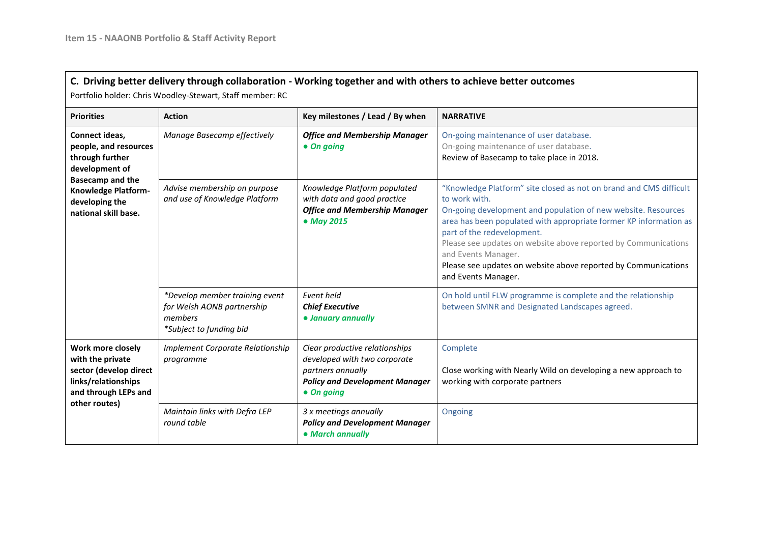| C. Driving better delivery through collaboration - Working together and with others to achieve better outcomes<br>Portfolio holder: Chris Woodley-Stewart, Staff member: RC |                                                                                                        |                                                                                                                                            |                                                                                                                                                                                                                                                                                                                                                                                                                                           |  |
|-----------------------------------------------------------------------------------------------------------------------------------------------------------------------------|--------------------------------------------------------------------------------------------------------|--------------------------------------------------------------------------------------------------------------------------------------------|-------------------------------------------------------------------------------------------------------------------------------------------------------------------------------------------------------------------------------------------------------------------------------------------------------------------------------------------------------------------------------------------------------------------------------------------|--|
| <b>Priorities</b>                                                                                                                                                           | <b>Action</b>                                                                                          | Key milestones / Lead / By when                                                                                                            | <b>NARRATIVE</b>                                                                                                                                                                                                                                                                                                                                                                                                                          |  |
| Connect ideas,<br>people, and resources<br>through further<br>development of                                                                                                | Manage Basecamp effectively                                                                            | <b>Office and Membership Manager</b><br>• On going                                                                                         | On-going maintenance of user database.<br>On-going maintenance of user database.<br>Review of Basecamp to take place in 2018.                                                                                                                                                                                                                                                                                                             |  |
| Knowledge Platform-<br>developing the<br>national skill base.                                                                                                               | <b>Basecamp and the</b><br>Advise membership on purpose<br>and use of Knowledge Platform<br>• May 2015 | Knowledge Platform populated<br>with data and good practice<br><b>Office and Membership Manager</b>                                        | "Knowledge Platform" site closed as not on brand and CMS difficult<br>to work with.<br>On-going development and population of new website. Resources<br>area has been populated with appropriate former KP information as<br>part of the redevelopment.<br>Please see updates on website above reported by Communications<br>and Events Manager.<br>Please see updates on website above reported by Communications<br>and Events Manager. |  |
|                                                                                                                                                                             | *Develop member training event<br>for Welsh AONB partnership<br>members<br>*Subject to funding bid     | Event held<br><b>Chief Executive</b><br>• January annually                                                                                 | On hold until FLW programme is complete and the relationship<br>between SMNR and Designated Landscapes agreed.                                                                                                                                                                                                                                                                                                                            |  |
| Work more closely<br>with the private<br>sector (develop direct<br>links/relationships<br>and through LEPs and                                                              | Implement Corporate Relationship<br>programme                                                          | Clear productive relationships<br>developed with two corporate<br>partners annually<br><b>Policy and Development Manager</b><br>• On going | Complete<br>Close working with Nearly Wild on developing a new approach to<br>working with corporate partners                                                                                                                                                                                                                                                                                                                             |  |
| other routes)                                                                                                                                                               | Maintain links with Defra LEP<br>round table                                                           | 3 x meetings annually<br><b>Policy and Development Manager</b><br>• March annually                                                         | Ongoing                                                                                                                                                                                                                                                                                                                                                                                                                                   |  |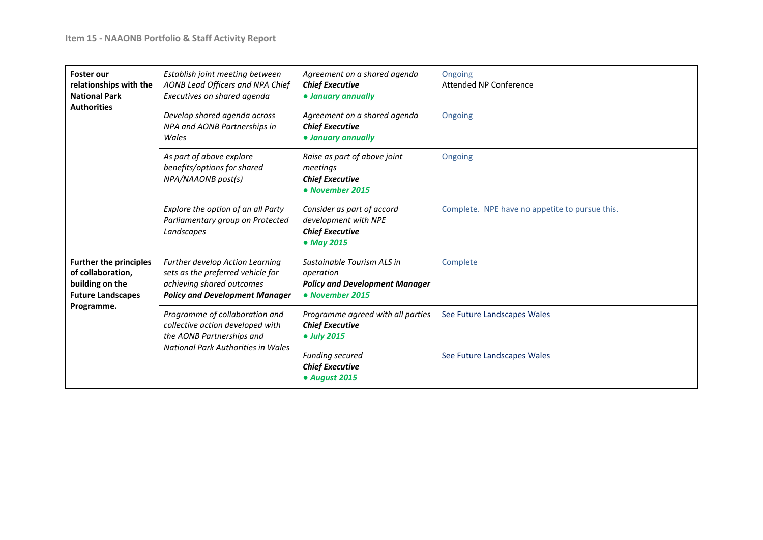| <b>Foster our</b><br>relationships with the<br><b>National Park</b><br><b>Authorities</b>         | Establish joint meeting between<br>AONB Lead Officers and NPA Chief<br>Executives on shared agenda                                         | Agreement on a shared agenda<br><b>Chief Executive</b><br>• January annually                        | Ongoing<br>Attended NP Conference              |
|---------------------------------------------------------------------------------------------------|--------------------------------------------------------------------------------------------------------------------------------------------|-----------------------------------------------------------------------------------------------------|------------------------------------------------|
|                                                                                                   | Develop shared agenda across<br>NPA and AONB Partnerships in<br>Wales                                                                      | Agreement on a shared agenda<br><b>Chief Executive</b><br>· January annually                        | Ongoing                                        |
|                                                                                                   | As part of above explore<br>benefits/options for shared<br>NPA/NAAONB post(s)                                                              | Raise as part of above joint<br>meetings<br><b>Chief Executive</b><br>• November 2015               | Ongoing                                        |
|                                                                                                   | Explore the option of an all Party<br>Parliamentary group on Protected<br>Landscapes                                                       | Consider as part of accord<br>development with NPE<br><b>Chief Executive</b><br>• May 2015          | Complete. NPE have no appetite to pursue this. |
| <b>Further the principles</b><br>of collaboration,<br>building on the<br><b>Future Landscapes</b> | Further develop Action Learning<br>sets as the preferred vehicle for<br>achieving shared outcomes<br><b>Policy and Development Manager</b> | Sustainable Tourism ALS in<br>operation<br><b>Policy and Development Manager</b><br>• November 2015 | Complete                                       |
| Programme.                                                                                        | Programme of collaboration and<br>collective action developed with<br>the AONB Partnerships and<br>National Park Authorities in Wales      | Programme agreed with all parties<br><b>Chief Executive</b><br>• July 2015                          | See Future Landscapes Wales                    |
|                                                                                                   |                                                                                                                                            | <b>Funding secured</b><br><b>Chief Executive</b><br>· August 2015                                   | See Future Landscapes Wales                    |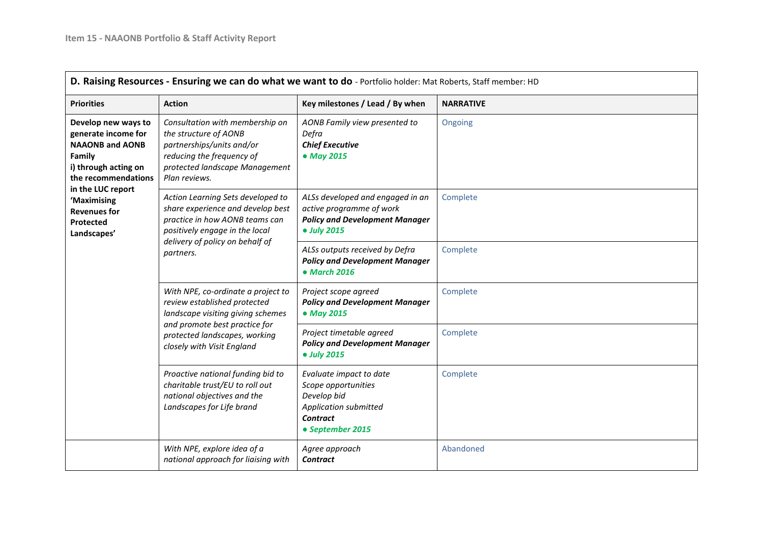| D. Raising Resources - Ensuring we can do what we want to do - Portfolio holder: Mat Roberts, Staff member: HD                |                                                                                                                                                                                                         |                                                                                                                               |                  |  |
|-------------------------------------------------------------------------------------------------------------------------------|---------------------------------------------------------------------------------------------------------------------------------------------------------------------------------------------------------|-------------------------------------------------------------------------------------------------------------------------------|------------------|--|
| <b>Priorities</b>                                                                                                             | <b>Action</b>                                                                                                                                                                                           | Key milestones / Lead / By when                                                                                               | <b>NARRATIVE</b> |  |
| Develop new ways to<br>generate income for<br><b>NAAONB and AONB</b><br>Family<br>i) through acting on<br>the recommendations | Consultation with membership on<br>the structure of AONB<br>partnerships/units and/or<br>reducing the frequency of<br>protected landscape Management<br>Plan reviews.                                   | AONB Family view presented to<br>Defra<br><b>Chief Executive</b><br>• May 2015                                                | Ongoing          |  |
| in the LUC report<br>'Maximising<br><b>Revenues for</b><br>Protected<br>Landscapes'                                           | Action Learning Sets developed to<br>share experience and develop best<br>practice in how AONB teams can<br>positively engage in the local<br>delivery of policy on behalf of<br>partners.              | ALSs developed and engaged in an<br>active programme of work<br><b>Policy and Development Manager</b><br>• July 2015          | Complete         |  |
|                                                                                                                               |                                                                                                                                                                                                         | ALSs outputs received by Defra<br><b>Policy and Development Manager</b><br>$•$ March 2016                                     | Complete         |  |
|                                                                                                                               | With NPE, co-ordinate a project to<br>review established protected<br>landscape visiting giving schemes<br>and promote best practice for<br>protected landscapes, working<br>closely with Visit England | Project scope agreed<br><b>Policy and Development Manager</b><br>• May 2015                                                   | Complete         |  |
|                                                                                                                               |                                                                                                                                                                                                         | Project timetable agreed<br><b>Policy and Development Manager</b><br>• July 2015                                              | Complete         |  |
|                                                                                                                               | Proactive national funding bid to<br>charitable trust/EU to roll out<br>national objectives and the<br>Landscapes for Life brand                                                                        | Evaluate impact to date<br>Scope opportunities<br>Develop bid<br>Application submitted<br><b>Contract</b><br>• September 2015 | Complete         |  |
|                                                                                                                               | With NPE, explore idea of a<br>national approach for liaising with                                                                                                                                      | Agree approach<br><b>Contract</b>                                                                                             | Abandoned        |  |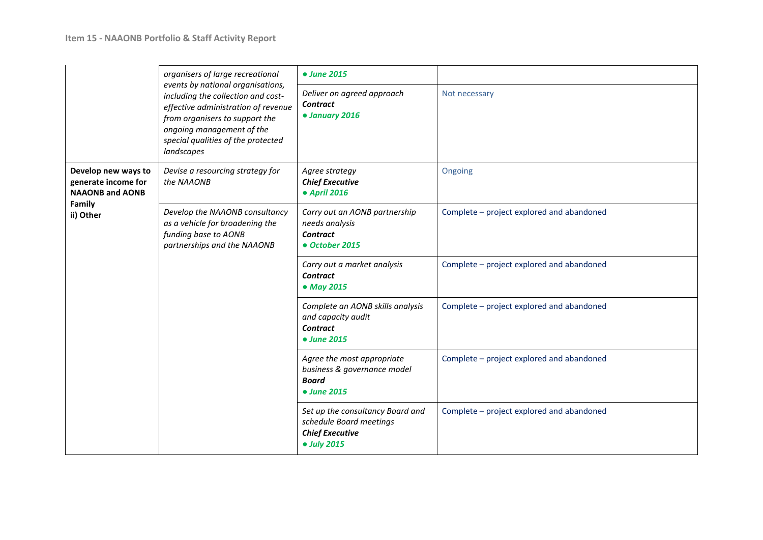|                                                                                             | organisers of large recreational<br>events by national organisations,<br>including the collection and cost-<br>effective administration of revenue<br>from organisers to support the<br>ongoing management of the<br>special qualities of the protected<br>landscapes | • June 2015                                                                                          |                                           |
|---------------------------------------------------------------------------------------------|-----------------------------------------------------------------------------------------------------------------------------------------------------------------------------------------------------------------------------------------------------------------------|------------------------------------------------------------------------------------------------------|-------------------------------------------|
|                                                                                             |                                                                                                                                                                                                                                                                       | Deliver on agreed approach<br><b>Contract</b><br>· January 2016                                      | Not necessary                             |
| Develop new ways to<br>generate income for<br><b>NAAONB and AONB</b><br>Family<br>ii) Other | Devise a resourcing strategy for<br>the NAAONB                                                                                                                                                                                                                        | Agree strategy<br><b>Chief Executive</b><br>• April 2016                                             | Ongoing                                   |
|                                                                                             | Develop the NAAONB consultancy<br>as a vehicle for broadening the<br>funding base to AONB<br>partnerships and the NAAONB                                                                                                                                              | Carry out an AONB partnership<br>needs analysis<br><b>Contract</b><br>• October 2015                 | Complete - project explored and abandoned |
|                                                                                             |                                                                                                                                                                                                                                                                       | Carry out a market analysis<br><b>Contract</b><br>• May 2015                                         | Complete - project explored and abandoned |
|                                                                                             |                                                                                                                                                                                                                                                                       | Complete an AONB skills analysis<br>and capacity audit<br><b>Contract</b><br>• June 2015             | Complete - project explored and abandoned |
|                                                                                             |                                                                                                                                                                                                                                                                       | Agree the most appropriate<br>business & governance model<br><b>Board</b><br>• June 2015             | Complete - project explored and abandoned |
|                                                                                             |                                                                                                                                                                                                                                                                       | Set up the consultancy Board and<br>schedule Board meetings<br><b>Chief Executive</b><br>• July 2015 | Complete - project explored and abandoned |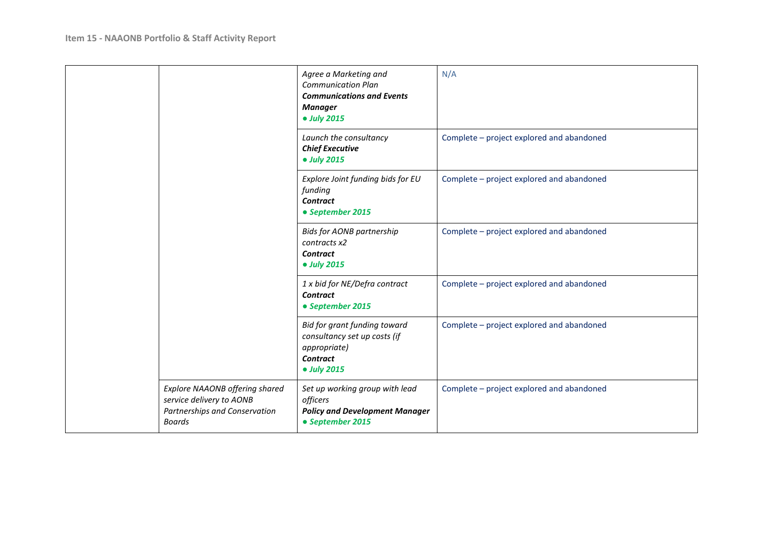|  |                                                                                                              | Agree a Marketing and<br><b>Communication Plan</b><br><b>Communications and Events</b><br><b>Manager</b><br>• July 2015 | N/A                                       |
|--|--------------------------------------------------------------------------------------------------------------|-------------------------------------------------------------------------------------------------------------------------|-------------------------------------------|
|  |                                                                                                              | Launch the consultancy<br><b>Chief Executive</b><br>• July 2015                                                         | Complete - project explored and abandoned |
|  |                                                                                                              | Explore Joint funding bids for EU<br>funding<br><b>Contract</b><br>• September 2015                                     | Complete - project explored and abandoned |
|  |                                                                                                              | <b>Bids for AONB partnership</b><br>contracts x2<br><b>Contract</b><br>• July 2015                                      | Complete - project explored and abandoned |
|  |                                                                                                              | 1 x bid for NE/Defra contract<br><b>Contract</b><br>• September 2015                                                    | Complete - project explored and abandoned |
|  |                                                                                                              | Bid for grant funding toward<br>consultancy set up costs (if<br>appropriate)<br><b>Contract</b><br>• July 2015          | Complete - project explored and abandoned |
|  | Explore NAAONB offering shared<br>service delivery to AONB<br>Partnerships and Conservation<br><b>Boards</b> | Set up working group with lead<br>officers<br><b>Policy and Development Manager</b><br>• September 2015                 | Complete - project explored and abandoned |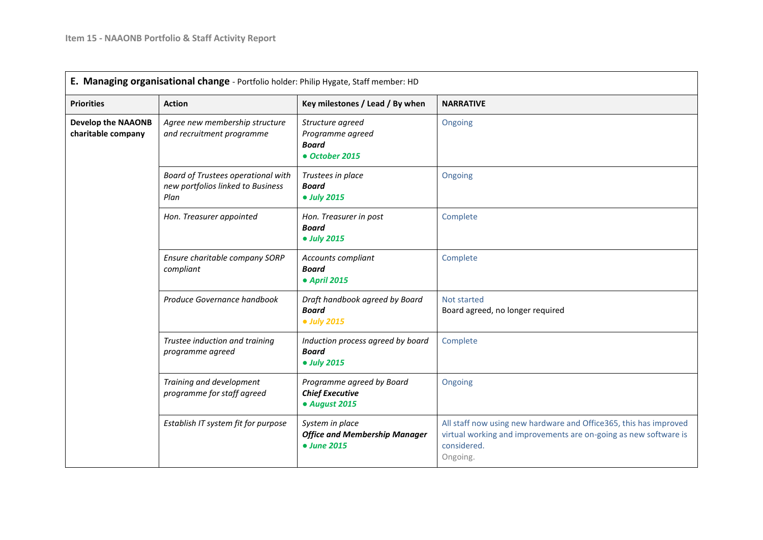| E. Managing organisational change - Portfolio holder: Philip Hygate, Staff member: HD |                                                                                 |                                                                        |                                                                                                                                                                  |  |  |
|---------------------------------------------------------------------------------------|---------------------------------------------------------------------------------|------------------------------------------------------------------------|------------------------------------------------------------------------------------------------------------------------------------------------------------------|--|--|
| <b>Priorities</b>                                                                     | <b>Action</b>                                                                   | Key milestones / Lead / By when                                        | <b>NARRATIVE</b>                                                                                                                                                 |  |  |
| <b>Develop the NAAONB</b><br>charitable company                                       | Agree new membership structure<br>and recruitment programme                     | Structure agreed<br>Programme agreed<br><b>Board</b><br>• October 2015 | Ongoing                                                                                                                                                          |  |  |
|                                                                                       | Board of Trustees operational with<br>new portfolios linked to Business<br>Plan | Trustees in place<br><b>Board</b><br>• July 2015                       | Ongoing                                                                                                                                                          |  |  |
|                                                                                       | Hon. Treasurer appointed                                                        | Hon. Treasurer in post<br><b>Board</b><br>• July 2015                  | Complete                                                                                                                                                         |  |  |
|                                                                                       | Ensure charitable company SORP<br>compliant                                     | Accounts compliant<br><b>Board</b><br>• April 2015                     | Complete                                                                                                                                                         |  |  |
|                                                                                       | Produce Governance handbook                                                     | Draft handbook agreed by Board<br><b>Board</b><br>• July 2015          | Not started<br>Board agreed, no longer required                                                                                                                  |  |  |
|                                                                                       | Trustee induction and training<br>programme agreed                              | Induction process agreed by board<br><b>Board</b><br>• July 2015       | Complete                                                                                                                                                         |  |  |
|                                                                                       | Training and development<br>programme for staff agreed                          | Programme agreed by Board<br><b>Chief Executive</b><br>· August 2015   | Ongoing                                                                                                                                                          |  |  |
|                                                                                       | Establish IT system fit for purpose                                             | System in place<br><b>Office and Membership Manager</b><br>• June 2015 | All staff now using new hardware and Office365, this has improved<br>virtual working and improvements are on-going as new software is<br>considered.<br>Ongoing. |  |  |